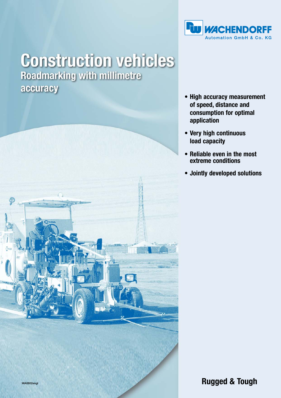

## **Construction vehicles Roadmarking with millimetre** accuracy



- **High accuracy measurement of speed, distance and consumption for optimal application**
- **Very high continuous load capacity**
- **Reliable even in the most extreme conditions**
- **Jointly developed solutions**

**Rugged & Tough**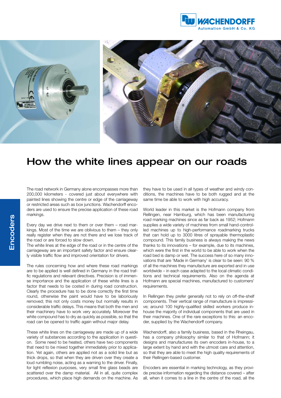



## How the white lines appear on our roads

The road network in Germany alone encompasses more than 200,000 kilometers - covered just about everywhere with painted lines showing the centre or edge of the carriageway or restricted areas such as box junctions. Wachendorff encoders are used to ensure the precise application of these road markings.

Every day we drive next to them or over them – road markings. Most of the time we are oblivious to them – they only really register when they are not there and we lose track of the road or are forced to slow down.

The white lines at the edge of the road or in the centre of the carriageway are an important safety factor and ensure clearly visible traffic flow and improved orientation for drivers.

The rules concerning how and where these road markings are to be applied is well defined in Germany in the road traffic regulations and relevant directives. Precision is of immense importance and the application of these white lines is a factor that needs to be costed in during road construction. Clearly the procedure has to be done correctly the first time round, otherwise the paint would have to be laboriously removed; this not only costs money but normally results in considerable traffic delays. This means that both the men and their machinery have to work very accurately. Moreover the white compound has to dry as quickly as possible, so that the road can be opened to traffic again without major delay.

These white lines on the carriageway are made up of a wide variety of substances according to the application in question. Some need to be heated, others have two components that need to be mixed together immediately prior to application. Yet again, others are applied not as a solid line but as thick drops, so that when they are driven over they create a loud rumbling noise, acting as a warning to the driver. Finally, for light reflexion purposes, very small fine glass beads are scattered over the damp material. All in all, quite complex procedures, which place high demands on the machine. As

they have to be used in all types of weather and windy conditions, the machines have to be both rugged and at the same time be able to work with high accuracy.

World leader in this market is the Hofmann company from Rellingen, near Hamburg, which has been manufacturing road marking machines since as far back as 1952; Hofmann supplies a wide variety of machines from small hand-controlled machines up to high-performance roadmarking trucks that can hold up to 3000 litres of sprayable thermoplastic compound. This family business is always making the news thanks to its innovations – for example, due to its machines, which were the first in the world to be able to work when the road bed is damp or wet. The success here of so many innovations that are 'Made in Germany' is clear to be seen: 90 % of all the machines they manufacture are exported and in use worldwide – in each case adapted to the local climatic conditions and technical requirements. Also on the agenda at Hofmann are special machines, manufactured to customers' requirements.

In Rellingen they prefer generally not to rely on off-the-shelf components. Their vertical range of manufacture is impressive; around 100 highly-qualified skilled workers produce inhouse the majority of individual components that are used in their machines. One of the rare exceptions to this: an encoder, supplied by the Wachendorff company.

Wachendorff, also a family business, based in the Rheingau, has a company philosophy similar to that of Hofmann; it designs and manufactures its own encoders in-house, to a large extent by hand and with the utmost care and attention, so that they are able to meet the high quality requirements of their Rellingen-based customer.

Encoders are essential in marking technology, as they provide precise information regarding the distance covered – after all, when it comes to a line in the centre of the road, all the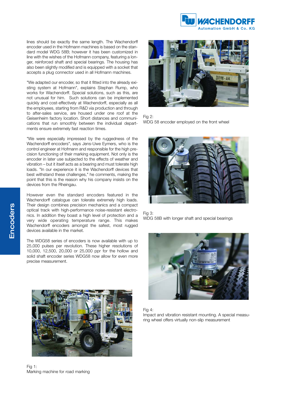

lines should be exactly the same length. The Wachendorff encoder used in the Hofmann machines is based on the standard model WDG 58B; however it has been customized in line with the wishes of the Hofmann company, featuring a longer, reinforced shaft and special bearings. The housing has also been slightly modified and is equipped with a socket that accepts a plug connector used in all Hofmann machines.

"We adapted our encoder, so that it fitted into the already existing system at Hofmann", explains Stephan Rump, who works for Wachendorff. Special solutions, such as this, are not unusual for him. Such solutions can be implemented quickly and cost-effectively at Wachendorff, especially as all the employees, starting from R&D via production and through to after-sales service, are housed under one roof at the Geisenheim factory location. Short distances and communications that run smoothly between the individual departments ensure extremely fast reaction times.

"We were especially impressed by the ruggedness of the Wachendorff encoders", says Jens-Uwe Eymers, who is the control engineer at Hofmann and responsible for the high precision functioning of their marking equipment. Not only is the encoder in later use subjected to the effects of weather and vibration – but it itself acts as a bearing and must tolerate high loads. "In our experience it is the Wachendorff devices that best withstand these challenges," he comments, making the point that this is the reason why his company insists on the devices from the Rheingau.

However even the standard encoders featured in the Wachendorff catalogue can tolerate extremely high loads. Their design combines precision mechanics and a compact optical track with high-performance noise-resistant electronics. In addition they boast a high level of protection and a very wide operating temperature range. This makes Wachendorff encoders amongst the safest, most rugged devices available in the market.

The WDG58 series of encoders is now available with up to 25,000 pulses per revolution. These higher resolutions of 10,000, 12,500, 20,000 or 25,000 ppr for the hollow and solid shaft encoder series WDG58 now allow for even more precise measurement.



Fig 1: Marking machine for road marking



Fig 2: WDG 58 encoder employed on the front wheel







Fig 4:

Impact and vibration resistant mounting. A special measuring wheel offers virtually non-slip measurement